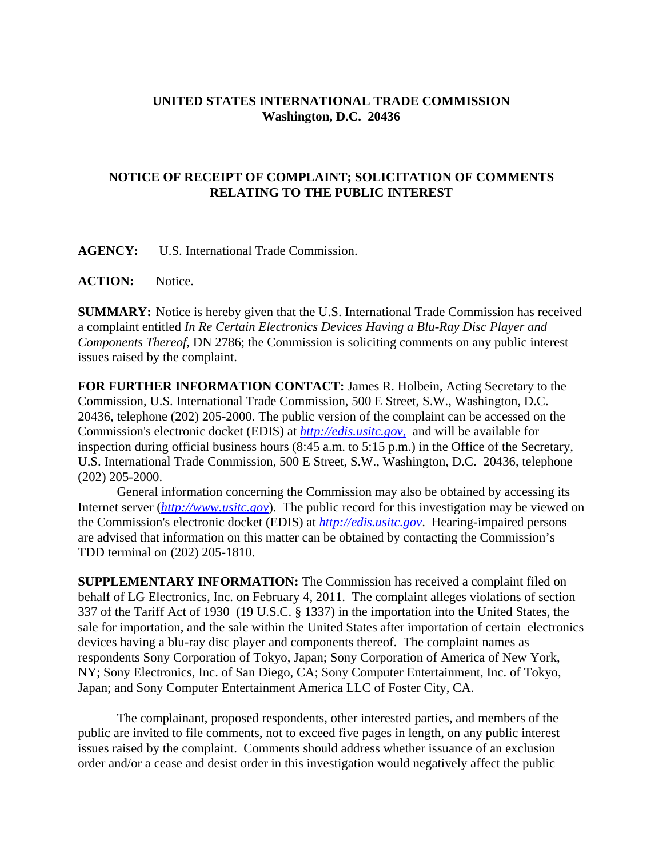## **UNITED STATES INTERNATIONAL TRADE COMMISSION Washington, D.C. 20436**

## **NOTICE OF RECEIPT OF COMPLAINT; SOLICITATION OF COMMENTS RELATING TO THE PUBLIC INTEREST**

**AGENCY:** U.S. International Trade Commission.

**ACTION:** Notice.

**SUMMARY:** Notice is hereby given that the U.S. International Trade Commission has received a complaint entitled *In Re Certain Electronics Devices Having a Blu-Ray Disc Player and Components Thereof*, DN 2786; the Commission is soliciting comments on any public interest issues raised by the complaint.

**FOR FURTHER INFORMATION CONTACT:** James R. Holbein, Acting Secretary to the Commission, U.S. International Trade Commission, 500 E Street, S.W., Washington, D.C. 20436, telephone (202) 205-2000. The public version of the complaint can be accessed on the Commission's electronic docket (EDIS) at *http://edis.usitc.gov*, and will be available for inspection during official business hours (8:45 a.m. to 5:15 p.m.) in the Office of the Secretary, U.S. International Trade Commission, 500 E Street, S.W., Washington, D.C. 20436, telephone (202) 205-2000.

General information concerning the Commission may also be obtained by accessing its Internet server (*http://www.usitc.gov*). The public record for this investigation may be viewed on the Commission's electronic docket (EDIS) at *http://edis.usitc.gov*. Hearing-impaired persons are advised that information on this matter can be obtained by contacting the Commission's TDD terminal on (202) 205-1810.

**SUPPLEMENTARY INFORMATION:** The Commission has received a complaint filed on behalf of LG Electronics, Inc. on February 4, 2011. The complaint alleges violations of section 337 of the Tariff Act of 1930 (19 U.S.C. § 1337) in the importation into the United States, the sale for importation, and the sale within the United States after importation of certain electronics devices having a blu-ray disc player and components thereof. The complaint names as respondents Sony Corporation of Tokyo, Japan; Sony Corporation of America of New York, NY; Sony Electronics, Inc. of San Diego, CA; Sony Computer Entertainment, Inc. of Tokyo, Japan; and Sony Computer Entertainment America LLC of Foster City, CA.

The complainant, proposed respondents, other interested parties, and members of the public are invited to file comments, not to exceed five pages in length, on any public interest issues raised by the complaint. Comments should address whether issuance of an exclusion order and/or a cease and desist order in this investigation would negatively affect the public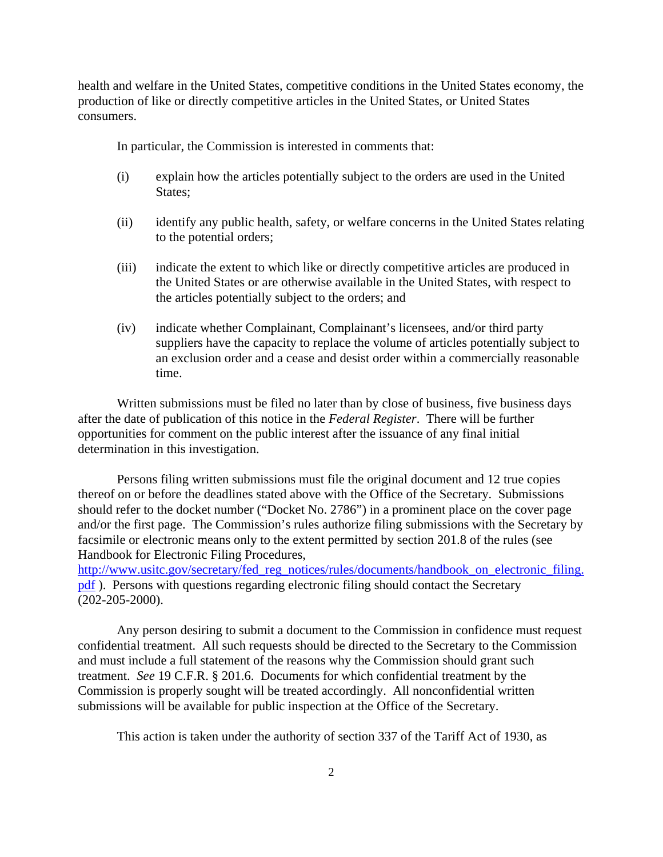health and welfare in the United States, competitive conditions in the United States economy, the production of like or directly competitive articles in the United States, or United States consumers.

In particular, the Commission is interested in comments that:

- (i) explain how the articles potentially subject to the orders are used in the United States;
- (ii) identify any public health, safety, or welfare concerns in the United States relating to the potential orders;
- (iii) indicate the extent to which like or directly competitive articles are produced in the United States or are otherwise available in the United States, with respect to the articles potentially subject to the orders; and
- (iv) indicate whether Complainant, Complainant's licensees, and/or third party suppliers have the capacity to replace the volume of articles potentially subject to an exclusion order and a cease and desist order within a commercially reasonable time.

Written submissions must be filed no later than by close of business, five business days after the date of publication of this notice in the *Federal Register*. There will be further opportunities for comment on the public interest after the issuance of any final initial determination in this investigation.

Persons filing written submissions must file the original document and 12 true copies thereof on or before the deadlines stated above with the Office of the Secretary. Submissions should refer to the docket number ("Docket No. 2786") in a prominent place on the cover page and/or the first page. The Commission's rules authorize filing submissions with the Secretary by facsimile or electronic means only to the extent permitted by section 201.8 of the rules (see Handbook for Electronic Filing Procedures,

http://www.usitc.gov/secretary/fed\_reg\_notices/rules/documents/handbook\_on\_electronic\_filing. pdf ). Persons with questions regarding electronic filing should contact the Secretary (202-205-2000).

Any person desiring to submit a document to the Commission in confidence must request confidential treatment. All such requests should be directed to the Secretary to the Commission and must include a full statement of the reasons why the Commission should grant such treatment. *See* 19 C.F.R. § 201.6. Documents for which confidential treatment by the Commission is properly sought will be treated accordingly. All nonconfidential written submissions will be available for public inspection at the Office of the Secretary.

This action is taken under the authority of section 337 of the Tariff Act of 1930, as